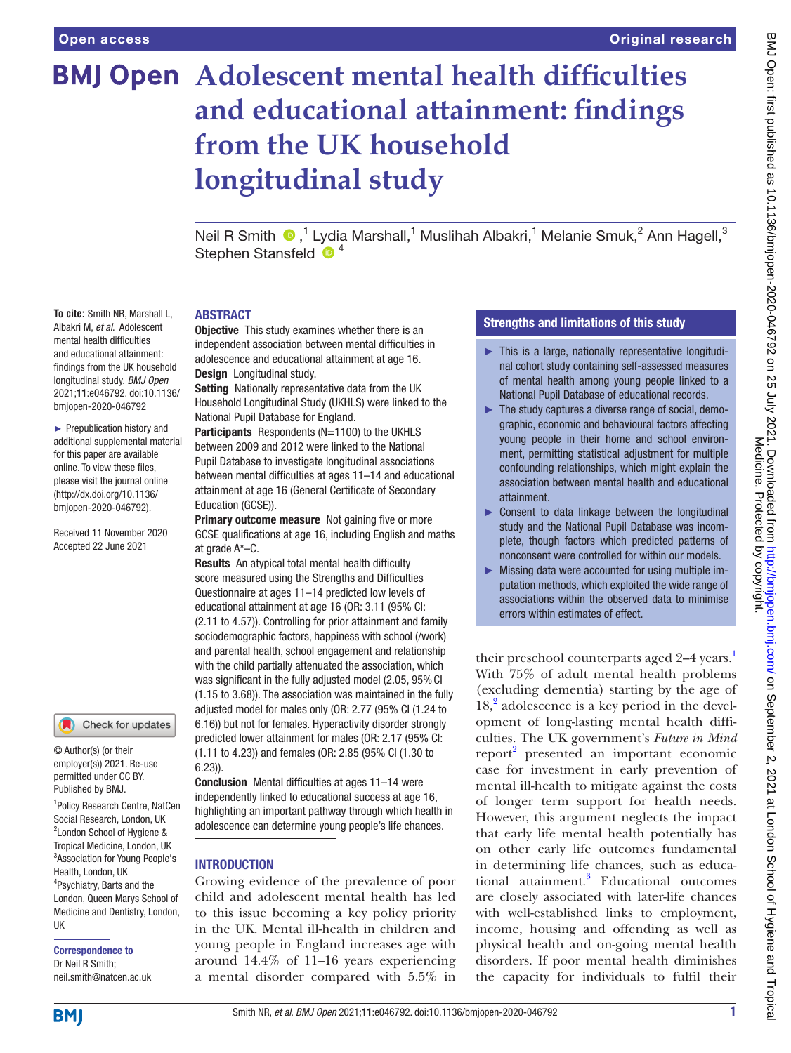**To cite:** Smith NR, Marshall L, Albakri M, *et al*. Adolescent mental health difficulties and educational attainment: findings from the UK household longitudinal study. *BMJ Open* 2021;11:e046792. doi:10.1136/ bmjopen-2020-046792 ► Prepublication history and additional supplemental material for this paper are available online. To view these files, please visit the journal online (http://dx.doi.org/10.1136/ bmjopen-2020-046792). Received 11 November 2020 Accepted 22 June 2021

# **BMJ Open Adolescent mental health difficulties and educational attainment: findings from the UK household longitudinal study**

Neil R Smith  $\bigcirc$ , 1 Lydia Marshall, 1 Muslihah Albakri, 1 Melanie Smuk, 2 Ann Hagell, 3 Stephen Stansfeld  $\bullet$ <sup>4</sup>

## ABSTRACT

**Objective** This study examines whether there is an independent association between mental difficulties in adolescence and educational attainment at age 16. Design Longitudinal study.

Setting Nationally representative data from the UK Household Longitudinal Study (UKHLS) were linked to the National Pupil Database for England.

Participants Respondents (N=1100) to the UKHLS between 2009 and 2012 were linked to the National Pupil Database to investigate longitudinal associations between mental difficulties at ages 11–14 and educational attainment at age 16 (General Certificate of Secondary Education (GCSE)).

**Primary outcome measure** Not gaining five or more GCSE qualifications at age 16, including English and maths at grade A\*–C.

Results An atypical total mental health difficulty score measured using the Strengths and Difficulties Questionnaire at ages 11–14 predicted low levels of educational attainment at age 16 (OR: 3.11 (95% CI: (2.11 to 4.57)). Controlling for prior attainment and family sociodemographic factors, happiness with school (/work) and parental health, school engagement and relationship with the child partially attenuated the association, which was significant in the fully adjusted model (2.05, 95% CI (1.15 to 3.68)). The association was maintained in the fully adjusted model for males only (OR: 2.77 (95% CI (1.24 to 6.16)) but not for females. Hyperactivity disorder strongly predicted lower attainment for males (OR: 2.17 (95% CI: (1.11 to 4.23)) and females (OR: 2.85 (95% CI (1.30 to 6.23)).

Conclusion Mental difficulties at ages 11–14 were independently linked to educational success at age 16, highlighting an important pathway through which health in adolescence can determine young people's life chances.

#### **INTRODUCTION**

Growing evidence of the prevalence of poor child and adolescent mental health has led to this issue becoming a key policy priority in the UK. Mental ill-health in children and young people in England increases age with around 14.4% of 11–16 years experiencing a mental disorder compared with 5.5% in

# Strengths and limitations of this study

- ► This is a large, nationally representative longitudinal cohort study containing self-assessed measures of mental health among young people linked to a National Pupil Database of educational records.
- ► The study captures a diverse range of social, demographic, economic and behavioural factors affecting young people in their home and school environment, permitting statistical adjustment for multiple confounding relationships, which might explain the association between mental health and educational attainment.
- ► Consent to data linkage between the longitudinal study and the National Pupil Database was incomplete, though factors which predicted patterns of nonconsent were controlled for within our models.
- ► Missing data were accounted for using multiple imputation methods, which exploited the wide range of associations within the observed data to minimise errors within estimates of effect.

their preschool counterparts aged 2–4 years.<sup>1</sup> With 75% of adult mental health problems (excluding dementia) starting by the age of 18,<sup>[2](#page-8-1)</sup> adolescence is a key period in the development of long-lasting mental health difficulties. The UK government's *Future in Mind* report<sup>[2](#page-8-1)</sup> presented an important economic case for investment in early prevention of mental ill-health to mitigate against the costs of longer term support for health needs. However, this argument neglects the impact that early life mental health potentially has on other early life outcomes fundamental in determining life chances, such as educational attainment.<sup>3</sup> Educational outcomes are closely associated with later-life chances with well-established links to employment, income, housing and offending as well as physical health and on-going mental health disorders. If poor mental health diminishes the capacity for individuals to fulfil their

Check for updates

© Author(s) (or their employer(s)) 2021. Re-use permitted under CC BY. Published by BMJ.

<sup>1</sup>Policy Research Centre, NatCen Social Research, London, UK 2 London School of Hygiene & Tropical Medicine, London, UK 3 Association for Young People's Health, London, UK 4 Psychiatry, Barts and the London, Queen Marys School of Medicine and Dentistry, London, UK

Correspondence to Dr Neil R Smith; neil.smith@natcen.ac.uk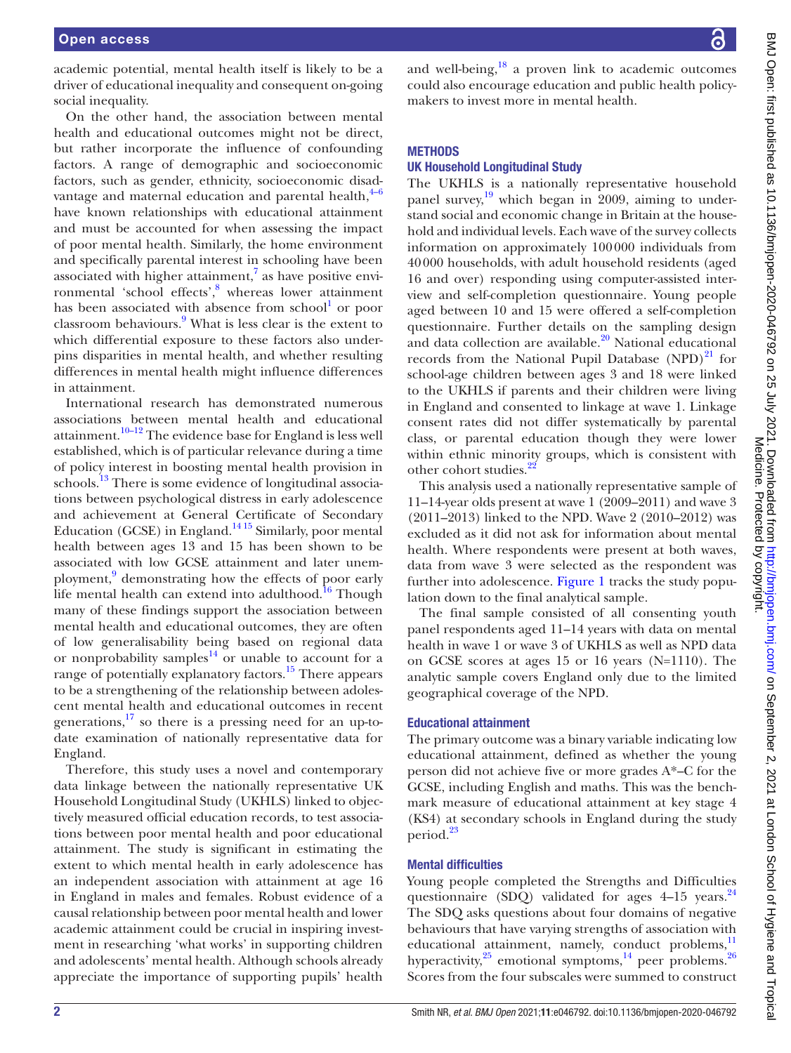academic potential, mental health itself is likely to be a driver of educational inequality and consequent on-going social inequality.

On the other hand, the association between mental health and educational outcomes might not be direct, but rather incorporate the influence of confounding factors. A range of demographic and socioeconomic factors, such as gender, ethnicity, socioeconomic disadvantage and maternal education and parental health, $4-6$ have known relationships with educational attainment and must be accounted for when assessing the impact of poor mental health. Similarly, the home environment and specifically parental interest in schooling have been associated with higher attainment, $7$  as have positive environmental 'school effects',<sup>8</sup> whereas lower attainment has been associated with absence from school<sup>1</sup> or poor classroom behaviours.<sup>[9](#page-8-6)</sup> What is less clear is the extent to which differential exposure to these factors also underpins disparities in mental health, and whether resulting differences in mental health might influence differences in attainment.

International research has demonstrated numerous associations between mental health and educational attainment.[10–12](#page-8-7) The evidence base for England is less well established, which is of particular relevance during a time of policy interest in boosting mental health provision in schools.<sup>13</sup> There is some evidence of longitudinal associations between psychological distress in early adolescence and achievement at General Certificate of Secondary Education (GCSE) in England.<sup>1415</sup> Similarly, poor mental health between ages 13 and 15 has been shown to be associated with low GCSE attainment and later unem-ployment,<sup>[9](#page-8-6)</sup> demonstrating how the effects of poor early life mental health can extend into adulthood.<sup>16</sup> Though many of these findings support the association between mental health and educational outcomes, they are often of low generalisability being based on regional data or nonprobability samples $^{14}$  or unable to account for a range of potentially explanatory factors.<sup>15</sup> There appears to be a strengthening of the relationship between adolescent mental health and educational outcomes in recent generations, $17$  so there is a pressing need for an up-todate examination of nationally representative data for England.

Therefore, this study uses a novel and contemporary data linkage between the nationally representative UK Household Longitudinal Study (UKHLS) linked to objectively measured official education records, to test associations between poor mental health and poor educational attainment. The study is significant in estimating the extent to which mental health in early adolescence has an independent association with attainment at age 16 in England in males and females. Robust evidence of a causal relationship between poor mental health and lower academic attainment could be crucial in inspiring investment in researching 'what works' in supporting children and adolescents' mental health. Although schools already appreciate the importance of supporting pupils' health

and well-being, $^{18}$  a proven link to academic outcomes could also encourage education and public health policymakers to invest more in mental health.

### **METHODS**

#### UK Household Longitudinal Study

The UKHLS is a nationally representative household panel survey, $19$  which began in 2009, aiming to understand social and economic change in Britain at the household and individual levels. Each wave of the survey collects information on approximately 100000 individuals from 40000 households, with adult household residents (aged 16 and over) responding using computer-assisted interview and self-completion questionnaire. Young people aged between 10 and 15 were offered a self-completion questionnaire. Further details on the sampling design and data collection are available.<sup>[20](#page-9-5)</sup> National educational records from the National Pupil Database  $(NPD)^{21}$  for school-age children between ages 3 and 18 were linked to the UKHLS if parents and their children were living in England and consented to linkage at wave 1. Linkage consent rates did not differ systematically by parental class, or parental education though they were lower within ethnic minority groups, which is consistent with other cohort studies.<sup>[22](#page-9-7)</sup>

This analysis used a nationally representative sample of 11–14-year olds present at wave 1 (2009–2011) and wave 3 (2011–2013) linked to the NPD. Wave 2 (2010–2012) was excluded as it did not ask for information about mental health. Where respondents were present at both waves, data from wave 3 were selected as the respondent was further into adolescence. [Figure](#page-2-0) 1 tracks the study population down to the final analytical sample.

The final sample consisted of all consenting youth panel respondents aged 11–14 years with data on mental health in wave 1 or wave 3 of UKHLS as well as NPD data on GCSE scores at ages 15 or 16 years (N=1110). The analytic sample covers England only due to the limited geographical coverage of the NPD.

## Educational attainment

The primary outcome was a binary variable indicating low educational attainment, defined as whether the young person did not achieve five or more grades A\*–C for the GCSE, including English and maths. This was the benchmark measure of educational attainment at key stage 4 (KS4) at secondary schools in England during the study period.<sup>23</sup>

#### Mental difficulties

Young people completed the Strengths and Difficulties questionnaire (SDQ) validated for ages  $4-15$  years.<sup>[24](#page-9-9)</sup> The SDQ asks questions about four domains of negative behaviours that have varying strengths of association with educational attainment, namely, conduct problems, $<sup>11</sup>$  $<sup>11</sup>$  $<sup>11</sup>$ </sup> hyperactivity, $2^5$  emotional symptoms, $14$  peer problems. $2^6$ Scores from the four subscales were summed to construct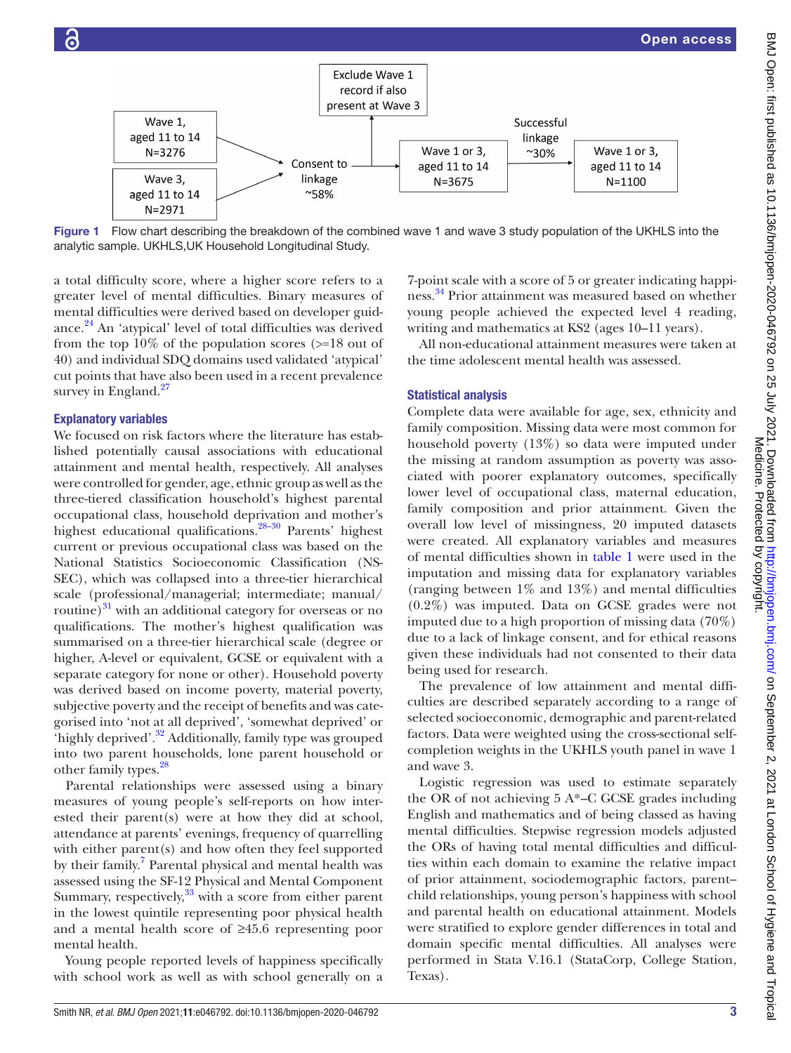

The prevalence of low attainment and mental difficulties are described separately according to a range of selected socioeconomic, demographic and parent-related factors. Data were weighted using the cross-sectional selfcompletion weights in the UKHLS youth panel in wave 1 and wave 3.

Logistic regression was used to estimate separately the OR of not achieving 5 A\*–C GCSE grades including English and mathematics and of being classed as having mental difficulties. Stepwise regression models adjusted the ORs of having total mental difficulties and difficulties within each domain to examine the relative impact of prior attainment, sociodemographic factors, parent– child relationships, young person's happiness with school and parental health on educational attainment. Models were stratified to explore gender differences in total and domain specific mental difficulties. All analyses were performed in Stata V.16.1 (StataCorp, College Station, Texas).

Figure 1 Flow chart describing the breakdown of the combined wave 1 and wave 3 study population of the UKHLS into the analytic sample. UKHLS,UK Household Longitudinal Study.

 $N = 3675$ 

Exclude Wave 1 record if also present at Wave 3

Consent to

linkage

 $~58\%$ 

a total difficulty score, where a higher score refers to a greater level of mental difficulties. Binary measures of mental difficulties were derived based on developer guidance. $^{24}$  An 'atypical' level of total difficulties was derived from the top  $10\%$  of the population scores ( $>18$  out of 40) and individual SDQ domains used validated 'atypical' cut points that have also been used in a recent prevalence survey in England. $27$ 

Wave 1.

aged 11 to 14

 $N = 3276$ 

<span id="page-2-0"></span>Wave 3,

aged 11 to 14  $N = 2971$ 

# Explanatory variables

We focused on risk factors where the literature has established potentially causal associations with educational attainment and mental health, respectively. All analyses were controlled for gender, age, ethnic group as well as the three-tiered classification household's highest parental occupational class, household deprivation and mother's highest educational qualifications[.28–30](#page-9-13) Parents' highest current or previous occupational class was based on the National Statistics Socioeconomic Classification (NS-SEC), which was collapsed into a three-tier hierarchical scale (professional/managerial; intermediate; manual/ routine) $31$  with an additional category for overseas or no qualifications. The mother's highest qualification was summarised on a three-tier hierarchical scale (degree or higher, A-level or equivalent, GCSE or equivalent with a separate category for none or other). Household poverty was derived based on income poverty, material poverty, subjective poverty and the receipt of benefits and was categorised into 'not at all deprived', 'somewhat deprived' or 'highly deprived'.<sup>32</sup> Additionally, family type was grouped into two parent households, lone parent household or other family types.<sup>28</sup>

Parental relationships were assessed using a binary measures of young people's self-reports on how interested their parent(s) were at how they did at school, attendance at parents' evenings, frequency of quarrelling with either parent(s) and how often they feel supported by their family.<sup>[7](#page-8-4)</sup> Parental physical and mental health was assessed using the SF-12 Physical and Mental Component Summary, respectively, $33$  with a score from either parent in the lowest quintile representing poor physical health and a mental health score of ≥45.6 representing poor mental health.

Young people reported levels of happiness specifically with school work as well as with school generally on a

Medicine. Protected by copyright.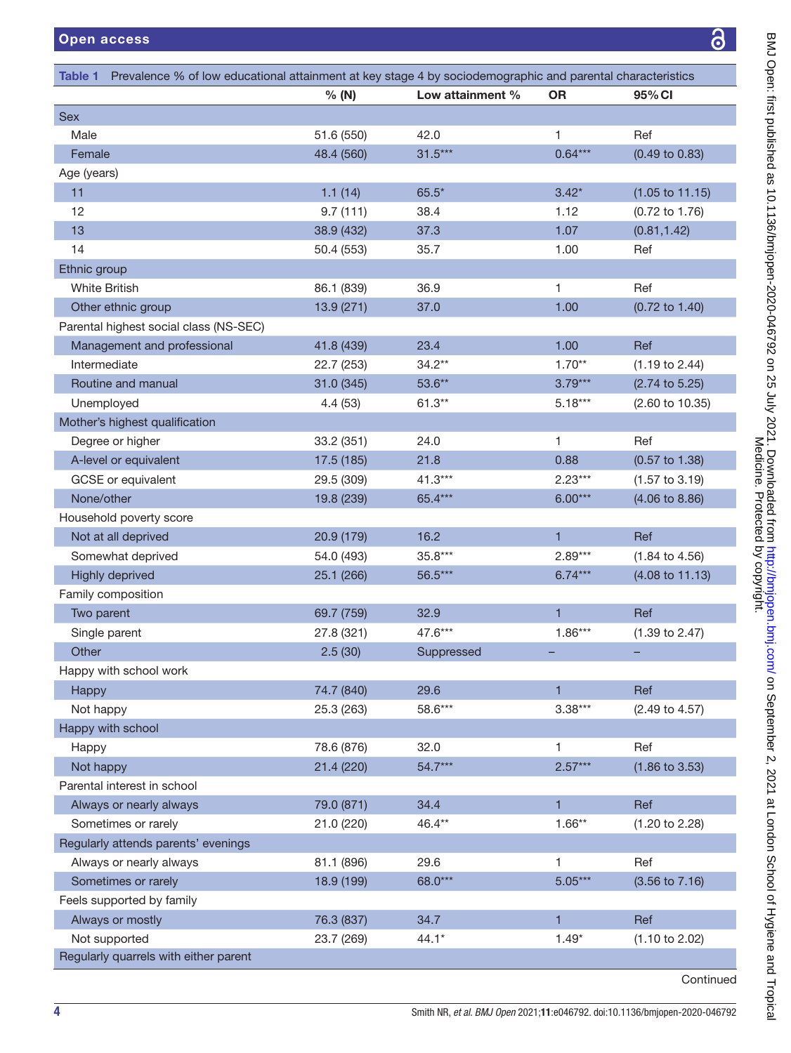<span id="page-3-0"></span>

| Prevalence % of low educational attainment at key stage 4 by sociodemographic and parental characteristics<br>Table 1 |            |                  |              |                            |
|-----------------------------------------------------------------------------------------------------------------------|------------|------------------|--------------|----------------------------|
|                                                                                                                       | % (N)      | Low attainment % | <b>OR</b>    | 95% CI                     |
| <b>Sex</b>                                                                                                            |            |                  |              |                            |
| Male                                                                                                                  | 51.6 (550) | 42.0             | 1            | Ref                        |
| Female                                                                                                                | 48.4 (560) | $31.5***$        | $0.64***$    | $(0.49 \text{ to } 0.83)$  |
| Age (years)                                                                                                           |            |                  |              |                            |
| 11                                                                                                                    | 1.1(14)    | $65.5*$          | $3.42*$      | $(1.05 \text{ to } 11.15)$ |
| 12                                                                                                                    | 9.7(111)   | 38.4             | 1.12         | $(0.72 \text{ to } 1.76)$  |
| 13                                                                                                                    | 38.9 (432) | 37.3             | 1.07         | (0.81, 1.42)               |
| 14                                                                                                                    | 50.4 (553) | 35.7             | 1.00         | Ref                        |
| Ethnic group                                                                                                          |            |                  |              |                            |
| <b>White British</b>                                                                                                  | 86.1 (839) | 36.9             | 1            | Ref                        |
| Other ethnic group                                                                                                    | 13.9(271)  | 37.0             | 1.00         | $(0.72 \text{ to } 1.40)$  |
| Parental highest social class (NS-SEC)                                                                                |            |                  |              |                            |
| Management and professional                                                                                           | 41.8 (439) | 23.4             | 1.00         | Ref                        |
| Intermediate                                                                                                          | 22.7 (253) | $34.2**$         | $1.70**$     | $(1.19 \text{ to } 2.44)$  |
| Routine and manual                                                                                                    | 31.0 (345) | 53.6**           | $3.79***$    | $(2.74 \text{ to } 5.25)$  |
| Unemployed                                                                                                            | 4.4(53)    | $61.3**$         | $5.18***$    | (2.60 to 10.35)            |
| Mother's highest qualification                                                                                        |            |                  |              |                            |
| Degree or higher                                                                                                      | 33.2 (351) | 24.0             | 1            | Ref                        |
| A-level or equivalent                                                                                                 | 17.5 (185) | 21.8             | 0.88         | $(0.57 \text{ to } 1.38)$  |
| GCSE or equivalent                                                                                                    | 29.5 (309) | $41.3***$        | $2.23***$    | $(1.57 \text{ to } 3.19)$  |
| None/other                                                                                                            | 19.8 (239) | 65.4***          | $6.00***$    | $(4.06 \text{ to } 8.86)$  |
| Household poverty score                                                                                               |            |                  |              |                            |
| Not at all deprived                                                                                                   | 20.9 (179) | 16.2             | $\mathbf{1}$ | Ref                        |
| Somewhat deprived                                                                                                     | 54.0 (493) | 35.8***          | $2.89***$    | $(1.84 \text{ to } 4.56)$  |
| <b>Highly deprived</b>                                                                                                | 25.1 (266) | 56.5***          | $6.74***$    | $(4.08 \text{ to } 11.13)$ |
| Family composition                                                                                                    |            |                  |              |                            |
| Two parent                                                                                                            | 69.7 (759) | 32.9             | $\mathbf{1}$ | <b>Ref</b>                 |
| Single parent                                                                                                         | 27.8 (321) | 47.6***          | $1.86***$    | $(1.39 \text{ to } 2.47)$  |
| Other                                                                                                                 | 2.5(30)    | Suppressed       |              | -                          |
| Happy with school work                                                                                                |            |                  |              |                            |
| Happy                                                                                                                 | 74.7 (840) | 29.6             | $\mathbf{1}$ | Ref                        |
| Not happy                                                                                                             | 25.3 (263) | 58.6***          | $3.38***$    | (2.49 to 4.57)             |
| Happy with school                                                                                                     |            |                  |              |                            |
| Happy                                                                                                                 | 78.6 (876) | 32.0             | 1            | Ref                        |
| Not happy                                                                                                             | 21.4 (220) | 54.7***          | $2.57***$    | $(1.86 \text{ to } 3.53)$  |
| Parental interest in school                                                                                           |            |                  |              |                            |
| Always or nearly always                                                                                               | 79.0 (871) | 34.4             | $\mathbf{1}$ | Ref                        |
| Sometimes or rarely                                                                                                   | 21.0 (220) | 46.4**           | $1.66**$     | $(1.20 \text{ to } 2.28)$  |
| Regularly attends parents' evenings                                                                                   |            |                  |              |                            |
| Always or nearly always                                                                                               | 81.1 (896) | 29.6             | 1            | Ref                        |
| Sometimes or rarely                                                                                                   | 18.9 (199) | 68.0***          | $5.05***$    | $(3.56 \text{ to } 7.16)$  |
| Feels supported by family                                                                                             |            |                  |              |                            |
| Always or mostly                                                                                                      | 76.3 (837) | 34.7             | $\mathbf{1}$ | Ref                        |
| Not supported                                                                                                         | 23.7 (269) | $44.1*$          | $1.49*$      | $(1.10 \text{ to } 2.02)$  |
| Regularly quarrels with either parent                                                                                 |            |                  |              |                            |
|                                                                                                                       |            |                  |              | Confinus                   |

**Continued**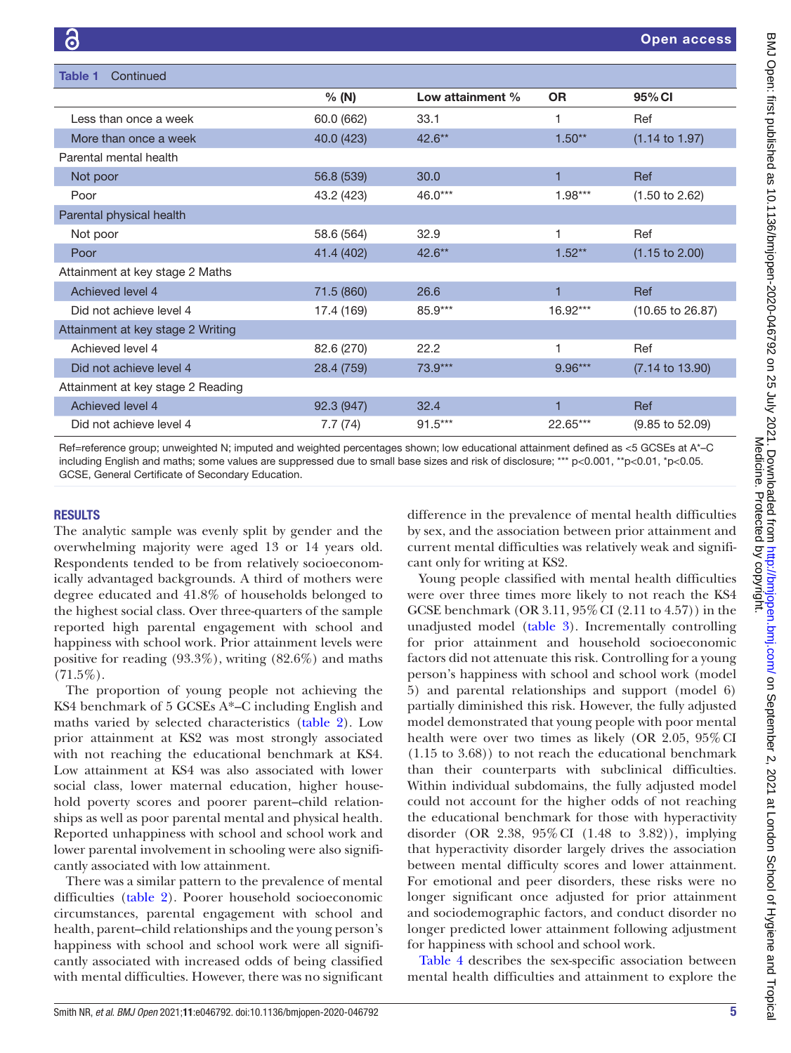| <b>Table 1</b><br>Continued       |            |                  |           |                             |
|-----------------------------------|------------|------------------|-----------|-----------------------------|
|                                   | % (N)      | Low attainment % | <b>OR</b> | 95% CI                      |
| Less than once a week             | 60.0 (662) | 33.1             | 1         | Ref                         |
| More than once a week             | 40.0 (423) | $42.6***$        | $1.50**$  | $(1.14 \text{ to } 1.97)$   |
| Parental mental health            |            |                  |           |                             |
| Not poor                          | 56.8 (539) | 30.0             | 1         | Ref                         |
| Poor                              | 43.2 (423) | 46.0***          | $1.98***$ | $(1.50 \text{ to } 2.62)$   |
| Parental physical health          |            |                  |           |                             |
| Not poor                          | 58.6 (564) | 32.9             | 1         | Ref                         |
| Poor                              | 41.4 (402) | $42.6***$        | $1.52**$  | $(1.15 \text{ to } 2.00)$   |
| Attainment at key stage 2 Maths   |            |                  |           |                             |
| Achieved level 4                  | 71.5 (860) | 26.6             | 1         | Ref                         |
| Did not achieve level 4           | 17.4 (169) | 85.9***          | 16.92***  | $(10.65 \text{ to } 26.87)$ |
| Attainment at key stage 2 Writing |            |                  |           |                             |
| Achieved level 4                  | 82.6 (270) | 22.2             | 1         | Ref                         |
| Did not achieve level 4           | 28.4 (759) | 73.9***          | 9.96***   | $(7.14 \text{ to } 13.90)$  |
| Attainment at key stage 2 Reading |            |                  |           |                             |
| Achieved level 4                  | 92.3 (947) | 32.4             | 1         | Ref                         |
| Did not achieve level 4           | 7.7(74)    | $91.5***$        | 22.65***  | $(9.85 \text{ to } 52.09)$  |

Ref=reference group; unweighted N; imputed and weighted percentages shown; low educational attainment defined as <5 GCSEs at A\*–C including English and maths; some values are suppressed due to small base sizes and risk of disclosure; \*\*\* p<0.001, \*\*p<0.01, \*p<0.05. GCSE, General Certificate of Secondary Education.

## RESULTS

The analytic sample was evenly split by gender and the overwhelming majority were aged 13 or 14 years old. Respondents tended to be from relatively socioeconomically advantaged backgrounds. A third of mothers were degree educated and 41.8% of households belonged to the highest social class. Over three-quarters of the sample reported high parental engagement with school and happiness with school work. Prior attainment levels were positive for reading (93.3%), writing (82.6%) and maths  $(71.5\%)$ .

The proportion of young people not achieving the KS4 benchmark of 5 GCSEs A\*–C including English and maths varied by selected characteristics [\(table](#page-5-0) 2). Low prior attainment at KS2 was most strongly associated with not reaching the educational benchmark at KS4. Low attainment at KS4 was also associated with lower social class, lower maternal education, higher household poverty scores and poorer parent–child relationships as well as poor parental mental and physical health. Reported unhappiness with school and school work and lower parental involvement in schooling were also significantly associated with low attainment.

There was a similar pattern to the prevalence of mental difficulties [\(table](#page-5-0) 2). Poorer household socioeconomic circumstances, parental engagement with school and health, parent–child relationships and the young person's happiness with school and school work were all significantly associated with increased odds of being classified with mental difficulties. However, there was no significant

difference in the prevalence of mental health difficulties by sex, and the association between prior attainment and current mental difficulties was relatively weak and significant only for writing at KS2.

Young people classified with mental health difficulties were over three times more likely to not reach the KS4 GCSE benchmark (OR 3.11, 95%CI (2.11 to 4.57)) in the unadjusted model [\(table](#page-7-0) 3). Incrementally controlling for prior attainment and household socioeconomic factors did not attenuate this risk. Controlling for a young person's happiness with school and school work (model 5) and parental relationships and support (model 6) partially diminished this risk. However, the fully adjusted model demonstrated that young people with poor mental health were over two times as likely (OR 2.05, 95%CI (1.15 to 3.68)) to not reach the educational benchmark than their counterparts with subclinical difficulties. Within individual subdomains, the fully adjusted model could not account for the higher odds of not reaching the educational benchmark for those with hyperactivity disorder (OR 2.38, 95%CI (1.48 to 3.82)), implying that hyperactivity disorder largely drives the association between mental difficulty scores and lower attainment. For emotional and peer disorders, these risks were no longer significant once adjusted for prior attainment and sociodemographic factors, and conduct disorder no longer predicted lower attainment following adjustment for happiness with school and school work.

[Table](#page-7-1) 4 describes the sex-specific association between mental health difficulties and attainment to explore the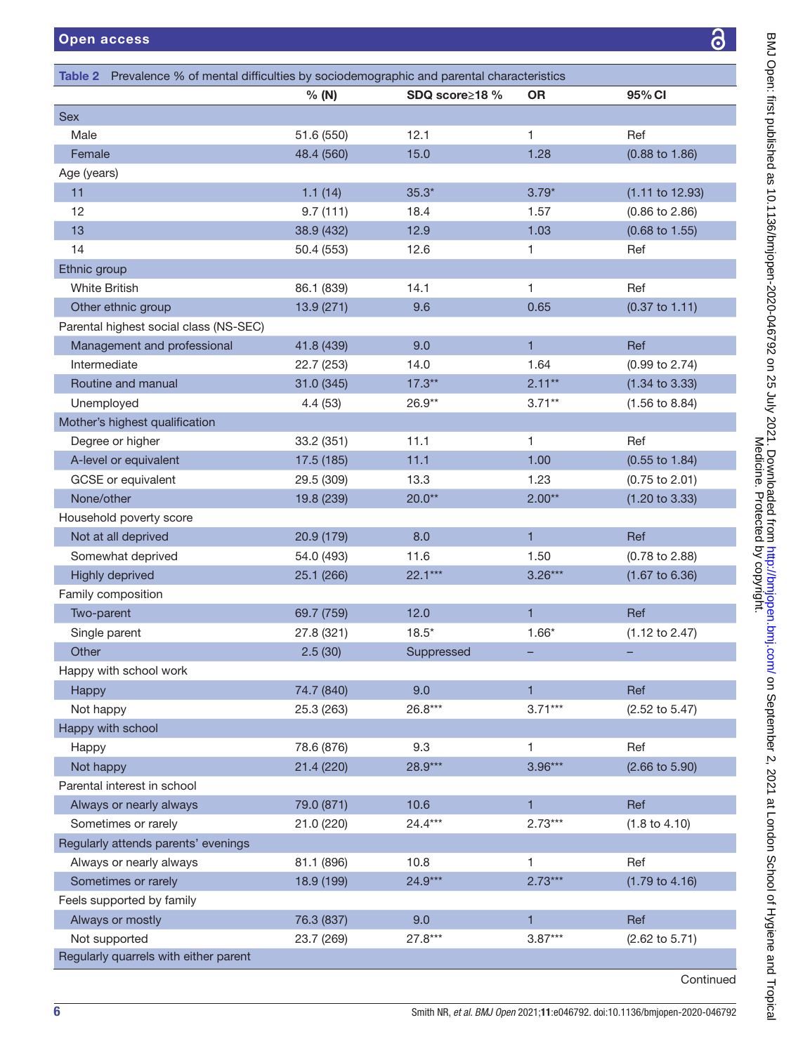<span id="page-5-0"></span>

| Table 2 Prevalence % of mental difficulties by sociodemographic and parental characteristics |            |                |                |                           |
|----------------------------------------------------------------------------------------------|------------|----------------|----------------|---------------------------|
|                                                                                              | % (N)      | SDQ score≥18 % | <b>OR</b>      | 95% CI                    |
| <b>Sex</b>                                                                                   |            |                |                |                           |
| Male                                                                                         | 51.6 (550) | 12.1           | 1              | Ref                       |
| Female                                                                                       | 48.4 (560) | 15.0           | 1.28           | $(0.88 \text{ to } 1.86)$ |
| Age (years)                                                                                  |            |                |                |                           |
| 11                                                                                           | 1.1(14)    | $35.3*$        | $3.79*$        | $(1.11$ to $12.93)$       |
| 12                                                                                           | 9.7(111)   | 18.4           | 1.57           | $(0.86 \text{ to } 2.86)$ |
| 13                                                                                           | 38.9 (432) | 12.9           | 1.03           | $(0.68 \text{ to } 1.55)$ |
| 14                                                                                           | 50.4 (553) | 12.6           | 1              | Ref                       |
| Ethnic group                                                                                 |            |                |                |                           |
| <b>White British</b>                                                                         | 86.1 (839) | 14.1           | 1              | Ref                       |
| Other ethnic group                                                                           | 13.9 (271) | 9.6            | 0.65           | $(0.37 \text{ to } 1.11)$ |
| Parental highest social class (NS-SEC)                                                       |            |                |                |                           |
| Management and professional                                                                  | 41.8 (439) | 9.0            | $\mathbf{1}$   | Ref                       |
| Intermediate                                                                                 | 22.7 (253) | 14.0           | 1.64           | $(0.99 \text{ to } 2.74)$ |
| Routine and manual                                                                           | 31.0 (345) | $17.3***$      | $2.11***$      | $(1.34 \text{ to } 3.33)$ |
| Unemployed                                                                                   | 4.4(53)    | 26.9**         | $3.71***$      | $(1.56 \text{ to } 8.84)$ |
| Mother's highest qualification                                                               |            |                |                |                           |
| Degree or higher                                                                             | 33.2 (351) | 11.1           | 1              | Ref                       |
| A-level or equivalent                                                                        | 17.5 (185) | 11.1           | 1.00           | $(0.55 \text{ to } 1.84)$ |
| GCSE or equivalent                                                                           | 29.5 (309) | 13.3           | 1.23           | $(0.75 \text{ to } 2.01)$ |
| None/other                                                                                   | 19.8 (239) | $20.0**$       | $2.00**$       | $(1.20 \text{ to } 3.33)$ |
| Household poverty score                                                                      |            |                |                |                           |
| Not at all deprived                                                                          | 20.9 (179) | 8.0            | $\mathbf{1}$   | Ref                       |
| Somewhat deprived                                                                            | 54.0 (493) | 11.6           | 1.50           | $(0.78 \text{ to } 2.88)$ |
| <b>Highly deprived</b>                                                                       | 25.1 (266) | $22.1***$      | $3.26***$      | $(1.67 \text{ to } 6.36)$ |
| Family composition                                                                           |            |                |                |                           |
| Two-parent                                                                                   | 69.7 (759) | 12.0           | 1              | Ref                       |
| Single parent                                                                                | 27.8 (321) | $18.5*$        | $1.66*$        | $(1.12 \text{ to } 2.47)$ |
| Other                                                                                        | 2.5(30)    | Suppressed     | -              |                           |
| Happy with school work                                                                       |            |                |                |                           |
| Happy                                                                                        | 74.7 (840) | 9.0            | $\mathbf{1}$   | Ref                       |
| Not happy                                                                                    | 25.3 (263) | 26.8***        | $3.71***$      | $(2.52 \text{ to } 5.47)$ |
| Happy with school                                                                            |            |                |                |                           |
| Happy                                                                                        | 78.6 (876) | 9.3            | 1              | Ref                       |
| Not happy                                                                                    | 21.4 (220) | 28.9***        | $3.96***$      | $(2.66 \text{ to } 5.90)$ |
| Parental interest in school                                                                  |            |                |                |                           |
| Always or nearly always                                                                      | 79.0 (871) | 10.6           | $\mathbf{1}$   | Ref                       |
| Sometimes or rarely                                                                          | 21.0 (220) | 24.4***        | $2.73***$      | $(1.8 \text{ to } 4.10)$  |
| Regularly attends parents' evenings                                                          |            |                |                |                           |
| Always or nearly always                                                                      | 81.1 (896) | 10.8           | 1              | Ref                       |
| Sometimes or rarely                                                                          | 18.9 (199) | 24.9***        | $2.73***$      | $(1.79 \text{ to } 4.16)$ |
| Feels supported by family                                                                    |            |                |                |                           |
| Always or mostly                                                                             | 76.3 (837) | 9.0            | $\blacksquare$ | Ref                       |
| Not supported                                                                                | 23.7 (269) | $27.8***$      | $3.87***$      | $(2.62 \text{ to } 5.71)$ |
| Regularly quarrels with either parent                                                        |            |                |                |                           |
|                                                                                              |            |                |                | Continued                 |

BMJ Open: first published as 10.1136/bmjopen-2020-046792 on 25 July 2021. Downloaded from http://bmjopen.bmj.com/ on September 2, 2021 at London School of Hygiene and Tropical<br>Medicine. Published as 10.1136/bmjopen-2020-04 BMJ Open: first published as 10.1136/bmjopen-2020-046792 on 25 July 2021. Downloaded from htp://bmjopen.bmj.com/ on September 2, 2021 at London School of Hygiene and Tropical Medicine. Protected by copyright.

 $\overline{\partial}$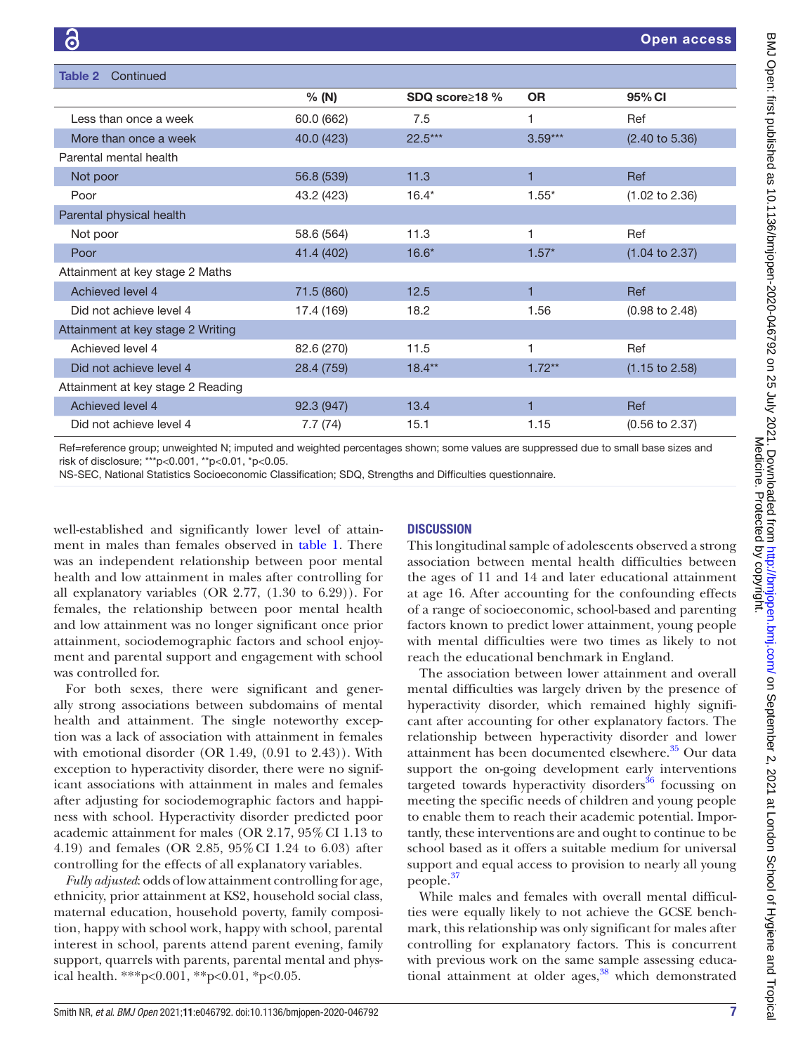| Table 2<br>Continued              |            |                       |           |                           |
|-----------------------------------|------------|-----------------------|-----------|---------------------------|
|                                   | % (N)      | SDQ score $\geq$ 18 % | <b>OR</b> | 95% CI                    |
| Less than once a week             | 60.0 (662) | 7.5                   | 1         | Ref                       |
| More than once a week             | 40.0 (423) | 22.5***               | $3.59***$ | $(2.40 \text{ to } 5.36)$ |
| Parental mental health            |            |                       |           |                           |
| Not poor                          | 56.8 (539) | 11.3                  | 1         | Ref                       |
| Poor                              | 43.2 (423) | $16.4*$               | $1.55*$   | $(1.02 \text{ to } 2.36)$ |
| Parental physical health          |            |                       |           |                           |
| Not poor                          | 58.6 (564) | 11.3                  | 1         | Ref                       |
| Poor                              | 41.4 (402) | $16.6*$               | $1.57*$   | $(1.04 \text{ to } 2.37)$ |
| Attainment at key stage 2 Maths   |            |                       |           |                           |
| Achieved level 4                  | 71.5 (860) | 12.5                  | 1         | Ref                       |
| Did not achieve level 4           | 17.4 (169) | 18.2                  | 1.56      | $(0.98 \text{ to } 2.48)$ |
| Attainment at key stage 2 Writing |            |                       |           |                           |
| Achieved level 4                  | 82.6 (270) | 11.5                  | 1         | Ref                       |
| Did not achieve level 4           | 28.4 (759) | $18.4***$             | $1.72**$  | $(1.15 \text{ to } 2.58)$ |
| Attainment at key stage 2 Reading |            |                       |           |                           |
| Achieved level 4                  | 92.3 (947) | 13.4                  | 1         | Ref                       |
| Did not achieve level 4           | 7.7(74)    | 15.1                  | 1.15      | $(0.56 \text{ to } 2.37)$ |

Ref=reference group; unweighted N; imputed and weighted percentages shown; some values are suppressed due to small base sizes and risk of disclosure; \*\*\*p<0.001, \*\*p<0.01, \*p<0.05.

NS-SEC, National Statistics Socioeconomic Classification; SDQ, Strengths and Difficulties questionnaire.

well-established and significantly lower level of attainment in males than females observed in [table](#page-3-0) 1. There was an independent relationship between poor mental health and low attainment in males after controlling for all explanatory variables (OR 2.77, (1.30 to 6.29)). For females, the relationship between poor mental health and low attainment was no longer significant once prior attainment, sociodemographic factors and school enjoyment and parental support and engagement with school was controlled for.

For both sexes, there were significant and generally strong associations between subdomains of mental health and attainment. The single noteworthy exception was a lack of association with attainment in females with emotional disorder (OR 1.49, (0.91 to 2.43)). With exception to hyperactivity disorder, there were no significant associations with attainment in males and females after adjusting for sociodemographic factors and happiness with school. Hyperactivity disorder predicted poor academic attainment for males (OR 2.17, 95%CI 1.13 to 4.19) and females (OR 2.85, 95%CI 1.24 to 6.03) after controlling for the effects of all explanatory variables.

*Fully adjusted*: odds of low attainment controlling for age, ethnicity, prior attainment at KS2, household social class, maternal education, household poverty, family composition, happy with school work, happy with school, parental interest in school, parents attend parent evening, family support, quarrels with parents, parental mental and physical health. \*\*\*p<0.001, \*\*p<0.01, \*p<0.05.

# **DISCUSSION**

This longitudinal sample of adolescents observed a strong association between mental health difficulties between the ages of 11 and 14 and later educational attainment at age 16. After accounting for the confounding effects of a range of socioeconomic, school-based and parenting factors known to predict lower attainment, young people with mental difficulties were two times as likely to not reach the educational benchmark in England.

The association between lower attainment and overall mental difficulties was largely driven by the presence of hyperactivity disorder, which remained highly significant after accounting for other explanatory factors. The relationship between hyperactivity disorder and lower attainment has been documented elsewhere.<sup>35</sup> Our data support the on-going development early interventions targeted towards hyperactivity disorders<sup>36</sup> focussing on meeting the specific needs of children and young people to enable them to reach their academic potential. Importantly, these interventions are and ought to continue to be school based as it offers a suitable medium for universal support and equal access to provision to nearly all young people. $37$ 

While males and females with overall mental difficulties were equally likely to not achieve the GCSE benchmark, this relationship was only significant for males after controlling for explanatory factors. This is concurrent with previous work on the same sample assessing educational attainment at older ages,<sup>38</sup> which demonstrated Medicine. Protected by copyright.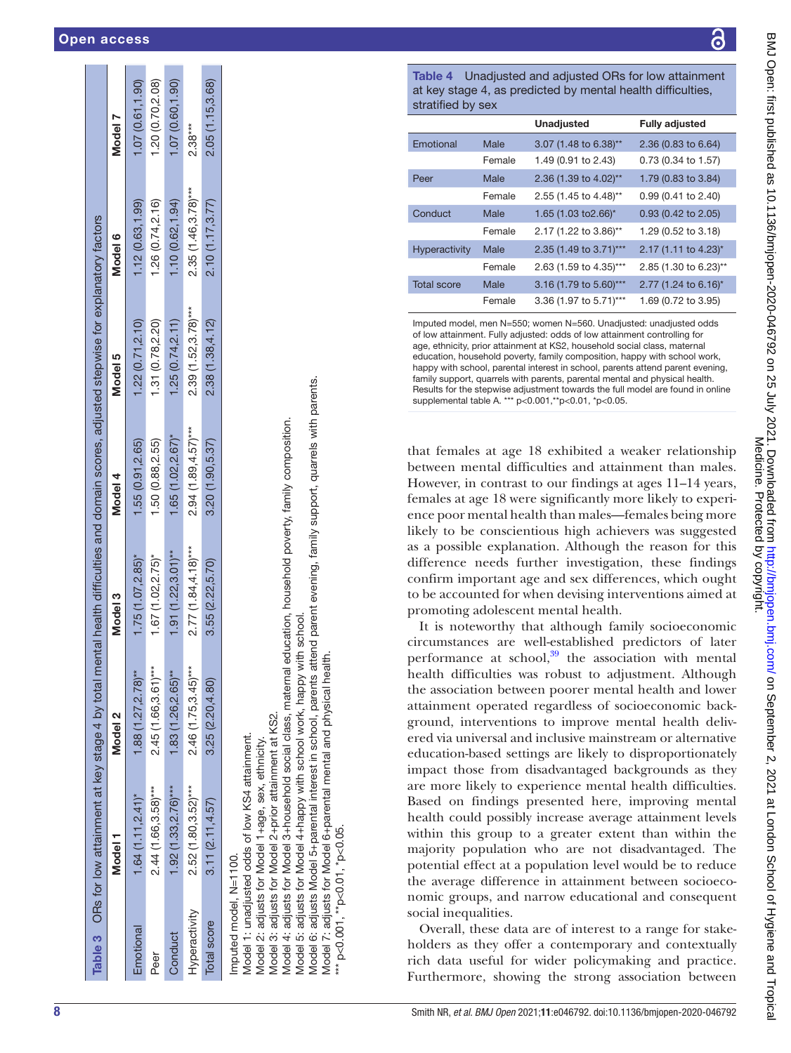|                        | Table 3 ORs for low attainment at key stage 4 by total mental health difficulties and domain scores, adjusted stepwise for explanatory factors                |                       |                        |                       |                       |                        |                  |
|------------------------|---------------------------------------------------------------------------------------------------------------------------------------------------------------|-----------------------|------------------------|-----------------------|-----------------------|------------------------|------------------|
|                        | Model 1                                                                                                                                                       | Model <sub>2</sub>    | Model 3                | Model 4               | Model 5               | Model 6                | Model 7          |
| Emotional              | $1.64(1.11, 2.41)^*$                                                                                                                                          | $1.88(1.27, 2.78)$ ** | $1.75(1.07, 2.85)^{*}$ | 1.55(0.91, 2.65)      | 1.22(0.71, 2.10)      | 1.12(0.63, 1.99)       | 1.07(0.61, 1.90) |
| Peer                   | $2.44(1.66, 3.58)$ ***                                                                                                                                        | 2.45 (1.66,3.61)***   | $1.67(1.02, 2.75)^*$   | 1.50 (0.88,2.55)      | 1.31 (0.78,2.20)      | 1.26(0.74, 2.16)       | 1.20(0.70, 2.08) |
| Conduct                | $1.92(1.33,2.76)***$                                                                                                                                          | $1.83(1.26, 2.65)$ ** | $1.91(1.22, 3.01)$ **  | $1.65(1.02, 2.67)$ *  | 1.25(0.74, 2.11)      | 1.10(0.62, 1.94)       | 1.07(0.60, 1.90) |
| Hyperactivity          | $2.52(1.80, 3.52)***$                                                                                                                                         | $2.46(1.75,3.45)***$  | $2.77(1.84, 4.18)***$  | $2.94(1.89, 4.57)***$ | $2.39(1.52, 3.78)***$ | $2.35(1.46, 3.78)$ *** | $2.38***$        |
| Total score            | 3.11(2.11, 4.57)                                                                                                                                              | 3.25(2.20, 4.80)      | 3.55 (2.22, 5.70)      | 3.20(1.90, 5.37)      | 2.38 (1.38,4.12)      | 2.10(1.17, 3.77)       | 2.05 (1.15,3.68) |
| Imputed model, N=1100. | Model 3: adjusts for Model 2+prior attainment at KS2.<br>Model 1: unadjusted odds of low KS4 attainment.<br>Model 2: adjusts for Model 1+age, sex, ethnicity. |                       |                        |                       |                       |                        |                  |

adjusts for Model 3-household social class, maternal education, household poverty, family composition. Model 4: adjusts for Model 3+household social class, maternal education, household poverty, family composition. Vlodel 4:

Model 5: adjusts for Model 4+happy with school work, happy with school. adjusts for Model 4+happy with school work, happy with school Vlodel 5:

adjusts Model 5+parental interest in school, parents attend parent evening, family support, quarrels with parents. Model 6: adjusts Model 5+parental interest in school, parents attend parent evening, family support, quarrels with parents. physical health Model 6: Model

 $\ddot{r}$ 

Model 7: adjusts for Model 6+parental mental and physical health. for Model adjusts

<span id="page-7-0"></span>

6+parental mental and \*\*\* p<0.001, \*\*p<0.01, \*p<0.05. p<0.001, \*\*p<0.01, \*p<0.05

ä Table 4 Unadjusted and adjusted ORs for low attainment

<span id="page-7-1"></span>

| at key stage 4, as predicted by mental health difficulties,<br>stratified by sex |        |                        |                       |  |  |
|----------------------------------------------------------------------------------|--------|------------------------|-----------------------|--|--|
|                                                                                  |        | <b>Unadjusted</b>      | <b>Fully adjusted</b> |  |  |
| Emotional                                                                        | Male   | 3.07 (1.48 to 6.38)**  | 2.36 (0.83 to 6.64)   |  |  |
|                                                                                  | Female | 1.49 (0.91 to 2.43)    | 0.73 (0.34 to 1.57)   |  |  |
| Peer                                                                             | Male   | 2.36 (1.39 to 4.02)**  | 1.79 (0.83 to 3.84)   |  |  |
|                                                                                  | Female | 2.55 (1.45 to 4.48)**  | 0.99 (0.41 to 2.40)   |  |  |
| Conduct                                                                          | Male   | 1.65 (1.03 to 2.66)*   | 0.93 (0.42 to 2.05)   |  |  |
|                                                                                  | Female | 2.17 (1.22 to 3.86)**  | 1.29 (0.52 to 3.18)   |  |  |
| <b>Hyperactivity</b>                                                             | Male   | 2.35 (1.49 to 3.71)*** | 2.17 (1.11 to 4.23)*  |  |  |
|                                                                                  | Female | 2.63 (1.59 to 4.35)*** | 2.85 (1.30 to 6.23)** |  |  |
| <b>Total score</b>                                                               | Male   | 3.16 (1.79 to 5.60)*** | 2.77 (1.24 to 6.16)*  |  |  |
|                                                                                  | Female | 3.36 (1.97 to 5.71)*** | 1.69 (0.72 to 3.95)   |  |  |

str

Imputed model, men N=550; women N=560. Unadjusted: unadjusted odds of low attainment. Fully adjusted: odds of low attainment controlling for age, ethnicity, prior attainment at KS2, household social class, maternal education, household poverty, family composition, happy with school work, happy with school, parental interest in school, parents attend parent evening, family support, quarrels with parents, parental mental and physical health. Results for the stepwise adjustment towards the full model are found in [online](https://dx.doi.org/10.1136/bmjopen-2020-046792)  [supplemental table A.](https://dx.doi.org/10.1136/bmjopen-2020-046792) \*\*\* p<0.001,\*\*p<0.01, \*p<0.05.

that females at age 18 exhibited a weaker relationship between mental difficulties and attainment than males. However, in contrast to our findings at ages 11–14 years, females at age 18 were significantly more likely to experience poor mental health than males—females being more likely to be conscientious high achievers was suggested as a possible explanation. Although the reason for this difference needs further investigation, these findings confirm important age and sex differences, which ought to be accounted for when devising interventions aimed at promoting adolescent mental health.

It is noteworthy that although family socioeconomic circumstances are well-established predictors of later performance at school, $39$  the association with mental health difficulties was robust to adjustment. Although the association between poorer mental health and lower attainment operated regardless of socioeconomic background, interventions to improve mental health delivered via universal and inclusive mainstream or alternative education-based settings are likely to disproportionately impact those from disadvantaged backgrounds as they are more likely to experience mental health difficulties. Based on findings presented here, improving mental health could possibly increase average attainment levels within this group to a greater extent than within the majority population who are not disadvantaged. The potential effect at a population level would be to reduce the average difference in attainment between socioeconomic groups, and narrow educational and consequent social inequalities.

Overall, these data are of interest to a range for stakeholders as they offer a contemporary and contextually rich data useful for wider policymaking and practice. Furthermore, showing the strong association between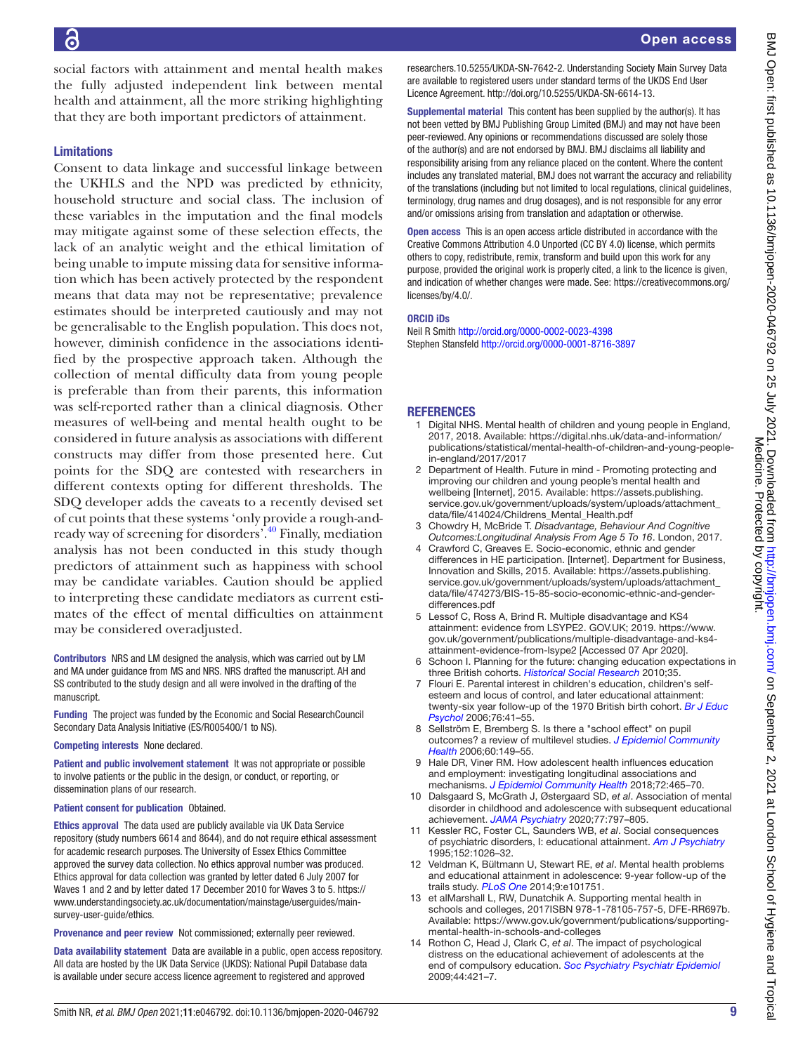social factors with attainment and mental health makes the fully adjusted independent link between mental health and attainment, all the more striking highlighting that they are both important predictors of attainment.

# Limitations

Consent to data linkage and successful linkage between the UKHLS and the NPD was predicted by ethnicity, household structure and social class. The inclusion of these variables in the imputation and the final models may mitigate against some of these selection effects, the lack of an analytic weight and the ethical limitation of being unable to impute missing data for sensitive information which has been actively protected by the respondent means that data may not be representative; prevalence estimates should be interpreted cautiously and may not be generalisable to the English population. This does not, however, diminish confidence in the associations identified by the prospective approach taken. Although the collection of mental difficulty data from young people is preferable than from their parents, this information was self-reported rather than a clinical diagnosis. Other measures of well-being and mental health ought to be considered in future analysis as associations with different constructs may differ from those presented here. Cut points for the SDQ are contested with researchers in different contexts opting for different thresholds. The SDQ developer adds the caveats to a recently devised set of cut points that these systems 'only provide a rough-andready way of screening for disorders'[.40](#page-9-23) Finally, mediation analysis has not been conducted in this study though predictors of attainment such as happiness with school may be candidate variables. Caution should be applied to interpreting these candidate mediators as current estimates of the effect of mental difficulties on attainment may be considered overadjusted.

Contributors NRS and LM designed the analysis, which was carried out by LM and MA under guidance from MS and NRS. NRS drafted the manuscript. AH and SS contributed to the study design and all were involved in the drafting of the manuscript.

Funding The project was funded by the Economic and Social ResearchCouncil Secondary Data Analysis Initiative (ES/R005400/1 to NS).

#### Competing interests None declared.

Patient and public involvement statement It was not appropriate or possible to involve patients or the public in the design, or conduct, or reporting, or dissemination plans of our research.

#### Patient consent for publication Obtained.

Ethics approval The data used are publicly available via UK Data Service repository (study numbers 6614 and 8644), and do not require ethical assessment for academic research purposes. The University of Essex Ethics Committee approved the survey data collection. No ethics approval number was produced. Ethics approval for data collection was granted by letter dated 6 July 2007 for Waves 1 and 2 and by letter dated 17 December 2010 for Waves 3 to 5. [https://](https://www.understandingsociety.ac.uk/documentation/mainstage/userguides/main-survey-user-guide/ethics) [www.understandingsociety.ac.uk/documentation/mainstage/userguides/main](https://www.understandingsociety.ac.uk/documentation/mainstage/userguides/main-survey-user-guide/ethics)[survey-user-guide/ethics](https://www.understandingsociety.ac.uk/documentation/mainstage/userguides/main-survey-user-guide/ethics).

Provenance and peer review Not commissioned; externally peer reviewed.

Data availability statement Data are available in a public, open access repository. All data are hosted by the UK Data Service (UKDS): National Pupil Database data is available under secure access licence agreement to registered and approved

researchers.10.5255/UKDA-SN-7642-2. Understanding Society Main Survey Data are available to registered users under standard terms of the UKDS End User Licence Agreement.<http://doi.org/10.5255/UKDA-SN-6614-13>.

Supplemental material This content has been supplied by the author(s). It has not been vetted by BMJ Publishing Group Limited (BMJ) and may not have been peer-reviewed. Any opinions or recommendations discussed are solely those of the author(s) and are not endorsed by BMJ. BMJ disclaims all liability and responsibility arising from any reliance placed on the content. Where the content includes any translated material, BMJ does not warrant the accuracy and reliability of the translations (including but not limited to local regulations, clinical guidelines, terminology, drug names and drug dosages), and is not responsible for any error and/or omissions arising from translation and adaptation or otherwise.

Open access This is an open access article distributed in accordance with the Creative Commons Attribution 4.0 Unported (CC BY 4.0) license, which permits others to copy, redistribute, remix, transform and build upon this work for any purpose, provided the original work is properly cited, a link to the licence is given, and indication of whether changes were made. See: [https://creativecommons.org/](https://creativecommons.org/licenses/by/4.0/) [licenses/by/4.0/](https://creativecommons.org/licenses/by/4.0/).

#### ORCID iDs

Neil R Smith<http://orcid.org/0000-0002-0023-4398> Stephen Stansfeld <http://orcid.org/0000-0001-8716-3897>

## **REFERENCES**

- <span id="page-8-0"></span>1 Digital NHS. Mental health of children and young people in England, 2017, 2018. Available: [https://digital.nhs.uk/data-and-information/](https://digital.nhs.uk/data-and-information/publications/statistical/mental-health-of-children-and-young-people-in-england/2017/2017) [publications/statistical/mental-health-of-children-and-young-people](https://digital.nhs.uk/data-and-information/publications/statistical/mental-health-of-children-and-young-people-in-england/2017/2017)[in-england/2017/2017](https://digital.nhs.uk/data-and-information/publications/statistical/mental-health-of-children-and-young-people-in-england/2017/2017)
- <span id="page-8-1"></span>2 Department of Health. Future in mind - Promoting protecting and improving our children and young people's mental health and wellbeing [Internet], 2015. Available: [https://assets.publishing.](https://assets.publishing.service.gov.uk/government/uploads/system/uploads/attachment_data/file/414024/Childrens_Mental_Health.pdf) [service.gov.uk/government/uploads/system/uploads/attachment\\_](https://assets.publishing.service.gov.uk/government/uploads/system/uploads/attachment_data/file/414024/Childrens_Mental_Health.pdf) [data/file/414024/Childrens\\_Mental\\_Health.pdf](https://assets.publishing.service.gov.uk/government/uploads/system/uploads/attachment_data/file/414024/Childrens_Mental_Health.pdf)
- <span id="page-8-2"></span>3 Chowdry H, McBride T. *Disadvantage, Behaviour And Cognitive Outcomes:Longitudinal Analysis From Age 5 To 16*. London, 2017.
- <span id="page-8-3"></span>4 Crawford C, Greaves E. Socio-economic, ethnic and gender differences in HE participation. [Internet]. Department for Business, Innovation and Skills, 2015. Available: [https://assets.publishing.](https://assets.publishing.service.gov.uk/government/uploads/system/uploads/attachment_data/file/474273/BIS-15-85-socio-economic-ethnic-and-gender-differences.pdf) [service.gov.uk/government/uploads/system/uploads/attachment\\_](https://assets.publishing.service.gov.uk/government/uploads/system/uploads/attachment_data/file/474273/BIS-15-85-socio-economic-ethnic-and-gender-differences.pdf) [data/file/474273/BIS-15-85-socio-economic-ethnic-and-gender](https://assets.publishing.service.gov.uk/government/uploads/system/uploads/attachment_data/file/474273/BIS-15-85-socio-economic-ethnic-and-gender-differences.pdf)[differences.pdf](https://assets.publishing.service.gov.uk/government/uploads/system/uploads/attachment_data/file/474273/BIS-15-85-socio-economic-ethnic-and-gender-differences.pdf)
- 5 Lessof C, Ross A, Brind R. Multiple disadvantage and KS4 attainment: evidence from LSYPE2. GOV.UK; 2019. [https://www.](https://www.gov.uk/government/publications/multiple-disadvantage-and-ks4-attainment-evidence-from-lsype2) [gov.uk/government/publications/multiple-disadvantage-and-ks4](https://www.gov.uk/government/publications/multiple-disadvantage-and-ks4-attainment-evidence-from-lsype2) [attainment-evidence-from-lsype2](https://www.gov.uk/government/publications/multiple-disadvantage-and-ks4-attainment-evidence-from-lsype2) [Accessed 07 Apr 2020].
- 6 Schoon I. Planning for the future: changing education expectations in three British cohorts. *[Historical Social Research](http://dx.doi.org/10.2307/20762452)* 2010;35.
- <span id="page-8-4"></span>7 Flouri E. Parental interest in children's education, children's selfesteem and locus of control, and later educational attainment: twenty-six year follow-up of the 1970 British birth cohort. *[Br J Educ](http://dx.doi.org/10.1348/000709905X52508)  [Psychol](http://dx.doi.org/10.1348/000709905X52508)* 2006;76:41–55.
- <span id="page-8-5"></span>8 Sellström E, Bremberg S. Is there a "school effect" on pupil outcomes? a review of multilevel studies. *[J Epidemiol Community](http://dx.doi.org/10.1136/jech.2005.036707)  [Health](http://dx.doi.org/10.1136/jech.2005.036707)* 2006;60:149–55.
- <span id="page-8-6"></span>9 Hale DR, Viner RM. How adolescent health influences education and employment: investigating longitudinal associations and mechanisms. *[J Epidemiol Community Health](http://dx.doi.org/10.1136/jech-2017-209605)* 2018;72:465–70.
- <span id="page-8-7"></span>10 Dalsgaard S, McGrath J, Østergaard SD, *et al*. Association of mental disorder in childhood and adolescence with subsequent educational achievement. *[JAMA Psychiatry](http://dx.doi.org/10.1001/jamapsychiatry.2020.0217)* 2020;77:797–805.
- <span id="page-8-10"></span>11 Kessler RC, Foster CL, Saunders WB, *et al*. Social consequences of psychiatric disorders, I: educational attainment. *[Am J Psychiatry](http://dx.doi.org/10.1176/ajp.152.7.1026)* 1995;152:1026–32.
- 12 Veldman K, Bültmann U, Stewart RE, *et al*. Mental health problems and educational attainment in adolescence: 9-year follow-up of the trails study. *[PLoS One](http://dx.doi.org/10.1371/journal.pone.0101751)* 2014;9:e101751.
- <span id="page-8-8"></span>13 et alMarshall L, RW, Dunatchik A. Supporting mental health in schools and colleges, 2017ISBN 978-1-78105-757-5, DFE-RR697b. Available: [https://www.gov.uk/government/publications/supporting](https://www.gov.uk/government/publications/supporting-mental-health-in-schools-and-colleges)[mental-health-in-schools-and-colleges](https://www.gov.uk/government/publications/supporting-mental-health-in-schools-and-colleges)
- <span id="page-8-9"></span>14 Rothon C, Head J, Clark C, *et al*. The impact of psychological distress on the educational achievement of adolescents at the end of compulsory education. *[Soc Psychiatry Psychiatr Epidemiol](http://dx.doi.org/10.1007/s00127-008-0452-8)* 2009;44:421–7.